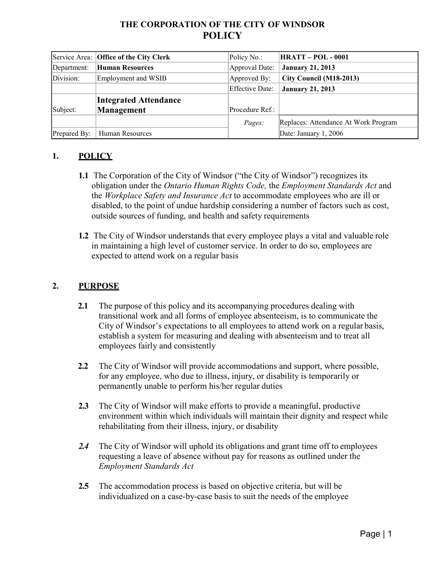# **THE CORPORATION OF THE CITY OF WINDSOR POLICY**

|              | Service Area: Office of the City Clerk | Policy No.:     | <b>HRATT - POL - 0001</b>            |
|--------------|----------------------------------------|-----------------|--------------------------------------|
| Department:  | <b>Human Resources</b>                 | Approval Date:  | <b>January 21, 2013</b>              |
| Division:    | Employment and WSIB                    | Approved By:    | City Council (M18-2013)              |
|              |                                        | Effective Date: | <b>January 21, 2013</b>              |
|              | <b>Integrated Attendance</b>           |                 |                                      |
| Subject:     | Management                             | Procedure Ref.: |                                      |
|              |                                        | Pages:          | Replaces: Attendance At Work Program |
| Prepared By: | Human Resources                        |                 | Date: January 1, 2006                |

## **1. POLICY**

- **1.1** The Corporation of the City of Windsor ("the City of Windsor") recognizes its obligation under the *Ontario Human Rights Code,* the *Employment Standards Act* and the *Workplace Safety and Insurance Act* to accommodate employees who are ill or disabled, to the point of undue hardship considering a number of factors such as cost, outside sources of funding, and health and safety requirements
- **1.2** The City of Windsor understands that every employee plays a vital and valuable role in maintaining a high level of customer service. In order to do so, employees are expected to attend work on a regular basis

#### **2. PURPOSE**

- **2.1** The purpose of this policy and its accompanying procedures dealing with transitional work and all forms of employee absenteeism, is to communicate the City of Windsor's expectations to all employees to attend work on a regular basis, establish a system for measuring and dealing with absenteeism and to treat all employees fairly and consistently
- **2.2** The City of Windsor will provide accommodations and support, where possible, for any employee, who due to illness, injury, or disability is temporarily or permanently unable to perform his/her regular duties
- **2.3** The City of Windsor will make efforts to provide a meaningful, productive environment within which individuals will maintain their dignity and respect while rehabilitating from their illness, injury, or disability
- *2.4* The City of Windsor will uphold its obligations and grant time off to employees requesting a leave of absence without pay for reasons as outlined under the *Employment Standards Act*
- **2.5** The accommodation process is based on objective criteria, but will be individualized on a case-by-case basis to suit the needs of the employee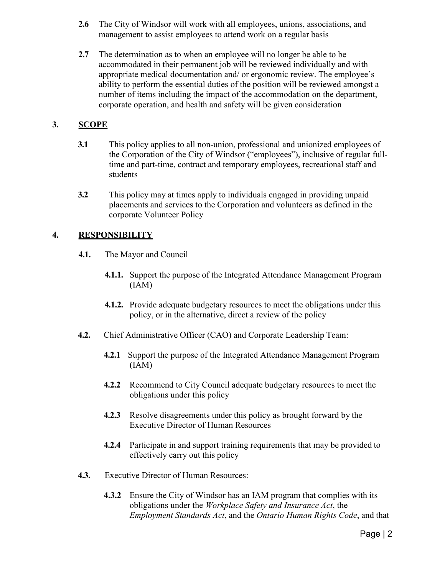- **2.6** The City of Windsor will work with all employees, unions, associations, and management to assist employees to attend work on a regular basis
- **2.7** The determination as to when an employee will no longer be able to be accommodated in their permanent job will be reviewed individually and with appropriate medical documentation and/ or ergonomic review. The employee's ability to perform the essential duties of the position will be reviewed amongst a number of items including the impact of the accommodation on the department, corporate operation, and health and safety will be given consideration

### **3. SCOPE**

- **3.1** This policy applies to all non-union, professional and unionized employees of the Corporation of the City of Windsor ("employees"), inclusive of regular fulltime and part-time, contract and temporary employees, recreational staff and students
- **3.2** This policy may at times apply to individuals engaged in providing unpaid placements and services to the Corporation and volunteers as defined in the corporate Volunteer Policy

#### **4. RESPONSIBILITY**

- **4.1.** The Mayor and Council
	- **4.1.1.** Support the purpose of the Integrated Attendance Management Program (IAM)
	- **4.1.2.** Provide adequate budgetary resources to meet the obligations under this policy, or in the alternative, direct a review of the policy
- **4.2.** Chief Administrative Officer (CAO) and Corporate Leadership Team:
	- **4.2.1** Support the purpose of the Integrated Attendance Management Program (IAM)
	- **4.2.2** Recommend to City Council adequate budgetary resources to meet the obligations under this policy
	- **4.2.3** Resolve disagreements under this policy as brought forward by the Executive Director of Human Resources
	- **4.2.4** Participate in and support training requirements that may be provided to effectively carry out this policy
- **4.3.** Executive Director of Human Resources:
	- **4.3.2** Ensure the City of Windsor has an IAM program that complies with its obligations under the *Workplace Safety and Insurance Act*, the *Employment Standards Act*, and the *Ontario Human Rights Code*, and that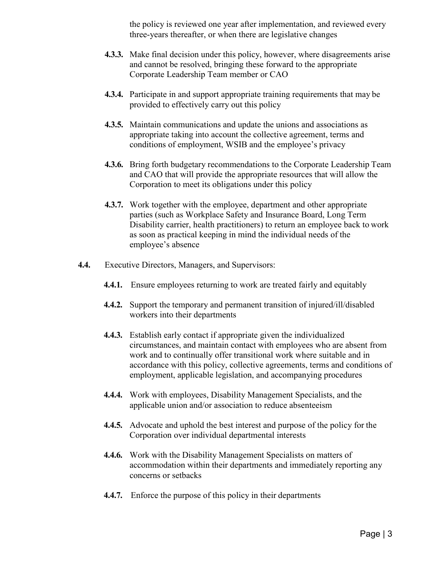the policy is reviewed one year after implementation, and reviewed every three-years thereafter, or when there are legislative changes

- **4.3.3.** Make final decision under this policy, however, where disagreements arise and cannot be resolved, bringing these forward to the appropriate Corporate Leadership Team member or CAO
- **4.3.4.** Participate in and support appropriate training requirements that may be provided to effectively carry out this policy
- **4.3.5.** Maintain communications and update the unions and associations as appropriate taking into account the collective agreement, terms and conditions of employment, WSIB and the employee's privacy
- **4.3.6.** Bring forth budgetary recommendations to the Corporate Leadership Team and CAO that will provide the appropriate resources that will allow the Corporation to meet its obligations under this policy
- **4.3.7.** Work together with the employee, department and other appropriate parties (such as Workplace Safety and Insurance Board, Long Term Disability carrier, health practitioners) to return an employee back to work as soon as practical keeping in mind the individual needs of the employee's absence
- **4.4.** Executive Directors, Managers, and Supervisors:
	- **4.4.1.** Ensure employees returning to work are treated fairly and equitably
	- **4.4.2.** Support the temporary and permanent transition of injured/ill/disabled workers into their departments
	- **4.4.3.** Establish early contact if appropriate given the individualized circumstances, and maintain contact with employees who are absent from work and to continually offer transitional work where suitable and in accordance with this policy, collective agreements, terms and conditions of employment, applicable legislation, and accompanying procedures
	- **4.4.4.** Work with employees, Disability Management Specialists, and the applicable union and/or association to reduce absenteeism
	- **4.4.5.** Advocate and uphold the best interest and purpose of the policy for the Corporation over individual departmental interests
	- **4.4.6.** Work with the Disability Management Specialists on matters of accommodation within their departments and immediately reporting any concerns or setbacks
	- **4.4.7.** Enforce the purpose of this policy in their departments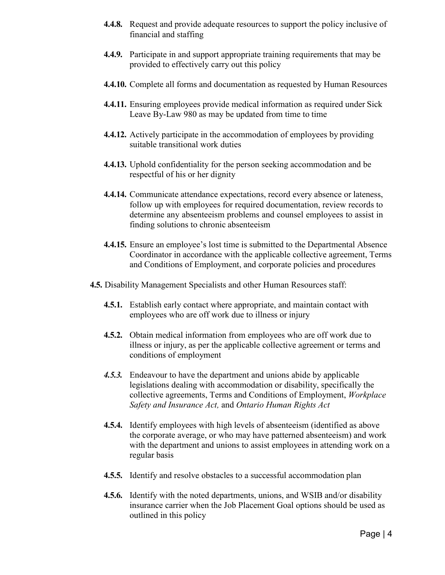- **4.4.8.** Request and provide adequate resources to support the policy inclusive of financial and staffing
- **4.4.9.** Participate in and support appropriate training requirements that may be provided to effectively carry out this policy
- **4.4.10.** Complete all forms and documentation as requested by Human Resources
- **4.4.11.** Ensuring employees provide medical information as required under Sick Leave By-Law 980 as may be updated from time to time
- **4.4.12.** Actively participate in the accommodation of employees by providing suitable transitional work duties
- **4.4.13.** Uphold confidentiality for the person seeking accommodation and be respectful of his or her dignity
- **4.4.14.** Communicate attendance expectations, record every absence or lateness, follow up with employees for required documentation, review records to determine any absenteeism problems and counsel employees to assist in finding solutions to chronic absenteeism
- **4.4.15.** Ensure an employee's lost time is submitted to the Departmental Absence Coordinator in accordance with the applicable collective agreement, Terms and Conditions of Employment, and corporate policies and procedures
- **4.5.** Disability Management Specialists and other Human Resources staff:
	- **4.5.1.** Establish early contact where appropriate, and maintain contact with employees who are off work due to illness or injury
	- **4.5.2.** Obtain medical information from employees who are off work due to illness or injury, as per the applicable collective agreement or terms and conditions of employment
	- *4.5.3.* Endeavour to have the department and unions abide by applicable legislations dealing with accommodation or disability, specifically the collective agreements, Terms and Conditions of Employment, *Workplace Safety and Insurance Act,* and *Ontario Human Rights Act*
	- **4.5.4.** Identify employees with high levels of absenteeism (identified as above the corporate average, or who may have patterned absenteeism) and work with the department and unions to assist employees in attending work on a regular basis
	- **4.5.5.** Identify and resolve obstacles to a successful accommodation plan
	- **4.5.6.** Identify with the noted departments, unions, and WSIB and/or disability insurance carrier when the Job Placement Goal options should be used as outlined in this policy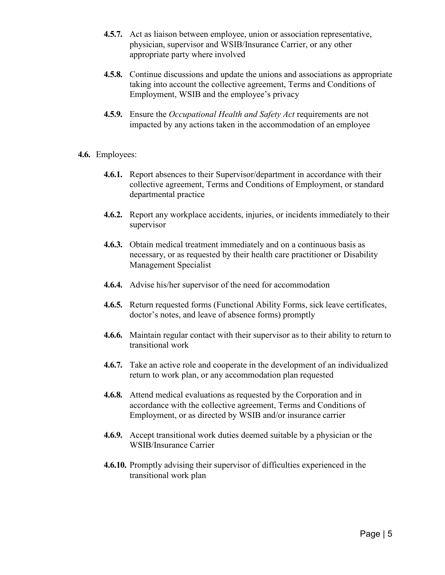- **4.5.7.** Act as liaison between employee, union or association representative, physician, supervisor and WSIB/Insurance Carrier, or any other appropriate party where involved
- **4.5.8.** Continue discussions and update the unions and associations as appropriate taking into account the collective agreement, Terms and Conditions of Employment, WSIB and the employee's privacy
- **4.5.9.** Ensure the *Occupational Health and Safety Act* requirements are not impacted by any actions taken in the accommodation of an employee
- **4.6.** Employees:
	- **4.6.1.** Report absences to their Supervisor/department in accordance with their collective agreement, Terms and Conditions of Employment, or standard departmental practice
	- **4.6.2.** Report any workplace accidents, injuries, or incidents immediately to their supervisor
	- **4.6.3.** Obtain medical treatment immediately and on a continuous basis as necessary, or as requested by their health care practitioner or Disability Management Specialist
	- **4.6.4.** Advise his/her supervisor of the need for accommodation
	- **4.6.5.** Return requested forms (Functional Ability Forms, sick leave certificates, doctor's notes, and leave of absence forms) promptly
	- **4.6.6.** Maintain regular contact with their supervisor as to their ability to return to transitional work
	- **4.6.7.** Take an active role and cooperate in the development of an individualized return to work plan, or any accommodation plan requested
	- **4.6.8.** Attend medical evaluations as requested by the Corporation and in accordance with the collective agreement, Terms and Conditions of Employment, or as directed by WSIB and/or insurance carrier
	- **4.6.9.** Accept transitional work duties deemed suitable by a physician or the WSIB/Insurance Carrier
	- **4.6.10.** Promptly advising their supervisor of difficulties experienced in the transitional work plan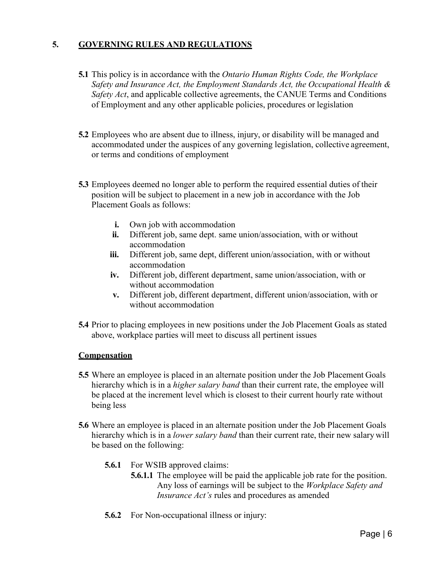### **5. GOVERNING RULES AND REGULATIONS**

- **5.1** This policy is in accordance with the *Ontario Human Rights Code, the Workplace Safety and Insurance Act, the Employment Standards Act, the Occupational Health & Safety Act*, and applicable collective agreements, the CANUE Terms and Conditions of Employment and any other applicable policies, procedures or legislation
- **5.2** Employees who are absent due to illness, injury, or disability will be managed and accommodated under the auspices of any governing legislation, collective agreement, or terms and conditions of employment
- **5.3** Employees deemed no longer able to perform the required essential duties of their position will be subject to placement in a new job in accordance with the Job Placement Goals as follows:
	- **i.** Own job with accommodation
	- **ii.** Different job, same dept. same union/association, with or without accommodation
	- **iii.** Different job, same dept, different union/association, with or without accommodation
	- **iv.** Different job, different department, same union/association, with or without accommodation
	- **v.** Different job, different department, different union/association, with or without accommodation
- **5.4** Prior to placing employees in new positions under the Job Placement Goals as stated above, workplace parties will meet to discuss all pertinent issues

#### **Compensation**

- **5.5** Where an employee is placed in an alternate position under the Job Placement Goals hierarchy which is in a *higher salary band* than their current rate, the employee will be placed at the increment level which is closest to their current hourly rate without being less
- **5.6** Where an employee is placed in an alternate position under the Job Placement Goals hierarchy which is in a *lower salary band* than their current rate, their new salary will be based on the following:
	- **5.6.1** For WSIB approved claims:
		- **5.6.1.1** The employee will be paid the applicable job rate for the position. Any loss of earnings will be subject to the *Workplace Safety and Insurance Act's* rules and procedures as amended
	- **5.6.2** For Non-occupational illness or injury: